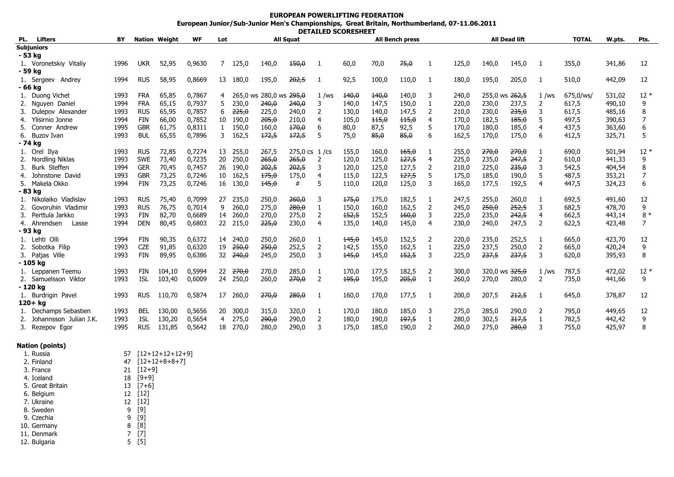## **EUROPEAN POWERLIFTING FEDERATION**

## **European Junior/Sub-Junior Men's Championships, Great Britain, Northumberland, 07-11.06.2011 DETAILED SCORESHEET**

| PL. | Lifters                | BY   |            | <b>Nation Weight</b> | <b>WF</b> | Lot | <b>All Squat</b>  |                         |                                 |                |       |       | <b>All Bench press</b> |                |       |       | <b>All Dead lift</b> |                | <b>TOTAL</b> | W.pts. | Pts.  |
|-----|------------------------|------|------------|----------------------|-----------|-----|-------------------|-------------------------|---------------------------------|----------------|-------|-------|------------------------|----------------|-------|-------|----------------------|----------------|--------------|--------|-------|
|     | <b>Subjuniors</b>      |      |            |                      |           |     |                   |                         |                                 |                |       |       |                        |                |       |       |                      |                |              |        |       |
|     | - 53 kg                |      |            |                      |           |     |                   |                         |                                 |                |       |       |                        |                |       |       |                      |                |              |        |       |
|     | 1. Voronetskiy Vitaliy | 1996 | <b>UKR</b> | 52,95                | 0,9630    | 7   | 125,0             | 140,0                   | 150,0                           |                | 60,0  | 70,0  | 75,0                   |                | 125,0 | 140,0 | 145,0                |                | 355,0        | 341,86 | 12    |
|     | - 59 kg                |      |            |                      |           |     |                   |                         |                                 |                |       |       |                        |                |       |       |                      |                |              |        |       |
|     | 1. Sergeev Andrey      | 1994 | <b>RUS</b> | 58,95                | 0,8669    | 13  | 180,0             | 195,0                   | 202,5                           | -1             | 92,5  | 100,0 | 110,0                  | -1             | 180,0 | 195,0 | 205,0                |                | 510,0        | 442,09 | 12    |
|     | - 66 kg                |      |            |                      |           |     |                   |                         |                                 |                |       |       |                        |                |       |       |                      |                |              |        |       |
|     | 1. Duong Vichet        | 1993 | <b>FRA</b> | 65,85                | 0,7867    | 4   |                   | 265,0 ws 280,0 ws 295,0 |                                 | 1/ws           | 140,0 | 140,0 | 140,0                  | 3              | 240,0 |       | 255,0 ws 262,5       | $1$ /ws        | 675,0/ws/    | 531,02 | $12*$ |
|     | 2. Nguyen Daniel       | 1994 | <b>FRA</b> | 65,15                | 0,7937    | 5.  | 230,0             | 240,0                   | 240,0                           | 3              | 140,0 | 147,5 | 150,0                  | 1              | 220,0 | 230,0 | 237,5                | 2              | 617,5        | 490,10 | 9     |
|     | 3. Dulepov Alexander   | 1993 | <b>RUS</b> | 65,95                | 0,7857    | 6   | 225,0             | 225,0                   | 240,0                           | 2              | 130,0 | 140,0 | 147,5                  | 2              | 210,0 | 230,0 | 235,0                | 3              | 617,5        | 485,16 | 8     |
| 4.  | Ylisirnio Jonne        | 1994 | FIN        | 66,00                | 0.7852    | 10  | 190,0             | 205,0                   | 210,0                           | 4              | 105,0 | 115,0 | 115,0                  | 4              | 170,0 | 182,5 | 185,0                | 5              | 497,5        | 390,63 |       |
| 5.  | Conner Andrew          | 1995 | <b>GBR</b> | 61,75                | 0,8311    |     | 150,0             | 160,0                   | 170,0                           | 6              | 80,0  | 87,5  | 92,5                   | 5              | 170,0 | 180,0 | 185,0                | 4              | 437,5        | 363,60 |       |
|     | 6. Buzov Ivan          | 1993 | <b>BUL</b> | 65,55                | 0,7896    | 3   | 162,5             | 172,5                   | 172,5                           | 5              | 75,0  | 85,0  | 85,0                   | 6              | 162,5 | 170,0 | 175,0                | 6              | 412,5        | 325,71 | 5     |
|     | - 74 kg                |      |            |                      |           |     |                   |                         |                                 |                |       |       |                        |                |       |       |                      |                |              |        |       |
|     | 1. Orel Ilya           | 1993 | <b>RUS</b> | 72,85                | 0,7274    | 13  | 255,0             | 267,5                   | $275,0 \text{ cs } 1/\text{cs}$ |                | 155,0 | 160,0 | 165,0                  |                | 255,0 | 270,0 | 270,0                |                | 690,0        | 501,94 | $12*$ |
|     | 2. Nordling Niklas     | 1993 | <b>SWE</b> | 73,40                | 0.7235    | 20  | 250,0             | 265,0                   | 265,0                           | 2              | 120,0 | 125,0 | 127,5                  | $\overline{4}$ | 225,0 | 235,0 | 247,5                | 2              | 610.0        | 441,33 | 9     |
| 3.  | Burk Steffen           | 1994 | <b>GER</b> | 70,45                | 0,7457    | 26  | 190,0             | 202,5                   | 202,5                           | 3              | 120,0 | 125,0 | 127,5                  | 2              | 210,0 | 225,0 | 235,0                | 3              | 542,5        | 404,54 | 8     |
|     | Johnstone David        | 1993 | <b>GBR</b> | 73,25                | 0,7246    | 10  | 162,5             | 175,0                   | 175,0                           | 4              | 115,0 | 122,5 | 127,5                  | 5              | 175,0 | 185,0 | 190,0                | 5              | 487,5        | 353,21 |       |
|     | 5. Makela Okko         | 1994 | FIN        | 73,25                | 0,7246    | 16  | 130,0             | 145,0                   | #                               | 5              | 110.0 | 120,0 | 125,0                  | 3              | 165,0 | 177,5 | 192,5                | 4              | 447,5        | 324,23 | 6     |
|     | - 83 kg                |      |            |                      |           |     |                   |                         |                                 |                |       |       |                        |                |       |       |                      |                |              |        |       |
|     | 1. Nikolaiko Vladislav | 1993 | <b>RUS</b> | 75,40                | 0,7099    | 27  | 235,0             | 250,0                   | 260,0                           | 3              | 175,0 | 175,0 | 182,5                  | -1             | 247,5 | 255,0 | 260,0                |                | 692,5        | 491,60 | 12    |
|     | 2. Govoruhin Vladimir  | 1993 | <b>RUS</b> | 76,75                | 0,7014    | 9   | 260,0             | 275,0                   | 280,0                           | -1             | 150,0 | 160,0 | 162,5                  | 2              | 245,0 | 250,0 | 252,5                | 3              | 682,5        | 478,70 | 9     |
| 3.  | Perttula Jarkko        | 1993 | <b>FIN</b> | 82,70                | 0,6689    | 14  | 260,0             | 270,0                   | 275,0                           | 2              | 152,5 | 152,5 | 160,0                  | 3              | 225,0 | 235,0 | 242,5                | $\overline{4}$ | 662,5        | 443,14 | $8*$  |
|     | 4. Ahrendsen<br>Lasse  | 1994 | <b>DEN</b> | 80,45                | 0,6803    | 22  | 215,0             | 225,0                   | 230,0                           | 4              | 135,0 | 140,0 | 145,0                  | 4              | 230,0 | 240,0 | 247,5                | 2              | 622,5        | 423,48 | 7     |
|     | - 93 kg                |      |            |                      |           |     |                   |                         |                                 |                |       |       |                        |                |       |       |                      |                |              |        |       |
|     | 1. Lehti Olli          | 1994 | FIN        | 90,35                | 0,6372    |     | 14 240,0          | 250,0                   | 260,0                           |                | 145,0 | 145,0 | 152,5                  | 2              | 220,0 | 235,0 | 252,5                |                | 665,0        | 423,70 | 12    |
|     | 2. Sobotka Filip       | 1993 | <b>CZE</b> | 91,85                | 0,6320    | 19  | 250,0             | 250,0                   | 252,5                           | 2              | 142,5 | 155,0 | 162,5                  | 1              | 225,0 | 237,5 | 250,0                | 2              | 665,0        | 420,24 | 9     |
|     | 3. Patjas Ville        | 1993 | <b>FIN</b> | 89,95                | 0,6386    | 32  | <del>240,</del> 0 | 245,0                   | 250,0                           | 3              | 145,0 | 145,0 | 152,5                  | 3              | 225,0 | 237,5 | 237,5                | 3              | 620,0        | 395,93 | 8     |
|     | - 105 kg               |      |            |                      |           |     |                   |                         |                                 |                |       |       |                        |                |       |       |                      |                |              |        |       |
|     | 1. Leppanen Teemu      | 1993 | FIN        | 104,10               | 0,5994    | 22  | <del>270,0</del>  | 270,0                   | 285,0                           | -1             | 170,0 | 177,5 | 182,5                  | 2              | 300,0 |       | 320,0 ws 325,0       | 1/ws           | 787,5        | 472,02 | $12*$ |
|     | 2. Samuelsson Viktor   | 1993 | ISL        | 103,40               | 0,6009    | 24  | 250,0             | 260,0                   | 270,0                           | $\overline{2}$ | 195,0 | 195,0 | 205,0                  | 1              | 260,0 | 270,0 | 280,0                | 2              | 735,0        | 441,66 | 9     |
|     | - 120 kg               |      |            |                      |           |     |                   |                         |                                 |                |       |       |                        |                |       |       |                      |                |              |        |       |
|     | 1. Burdrigin Pavel     | 1993 | <b>RUS</b> | 110.70               | 0,5874    | 17  | 260.0             | 270,0                   | 280,0                           | -1             | 160,0 | 170,0 | 177,5                  |                | 200,0 | 207,5 | 212,5                |                | 645.0        | 378,87 | 12    |
|     | $120 + kq$             |      |            |                      |           |     |                   |                         |                                 |                |       |       |                        |                |       |       |                      |                |              |        |       |
|     | 1. Dechamps Sebastien  | 1993 | BEL        | 130,00               | 0,5656    | 20  | 300,0             | 315,0                   | 320,0                           | 1              | 170,0 | 180,0 | 185,0                  | 3              | 275,0 | 285,0 | 290,0                | 2              | 795,0        | 449,65 | 12    |
|     | Johannsson Julian J.K. | 1993 | ISL        | 130,20               | 0,5654    | 4   | 275,0             | 290,0                   | 290,0                           | 2              | 180,0 | 190,0 | 197,5                  | 1              | 280,0 | 302,5 | 317,5                |                | 782,5        | 442,42 | 9     |
|     | 3. Rezepov Egor        | 1995 | <b>RUS</b> | 131,85               | 0,5642    | 18  | 270,0             | 280,0                   | 290,0                           | 3              | 175,0 | 185,0 | 190,0                  | 2              | 260,0 | 275,0 | 280,0                | 3              | 755,0        | 425,97 | 8     |

## **Nation (points)**

| 1. Russia        | 57 | $[12+12+12+12+9]$ |
|------------------|----|-------------------|
| 2. Finland       | 47 | $[12+12+8+8+7]$   |
| 3. France        | 21 | $[12+9]$          |
| 4. Iceland       | 18 | $[9+9]$           |
| 5. Great Britain | 13 | $[7+6]$           |
| 6. Belgium       | 12 | [12]              |
| 7. Ukraine       | 12 | [12]              |
| 8. Sweden        | 9  | [9]               |
| 9. Czechia       | 9  | [9]               |
| 10. Germany      | 8  | [8]               |
| 11. Denmark      |    | [7]               |
| 12. Bulgaria     | 5  | 15 I              |
|                  |    |                   |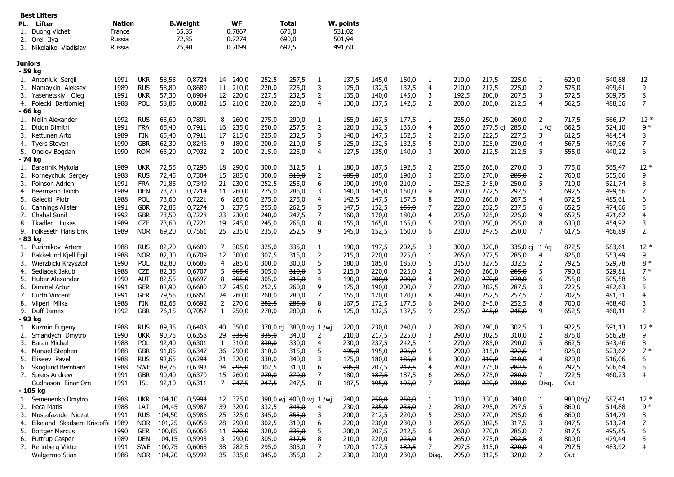|     | <b>Best Lifters</b>    |               |                 |           |       |           |
|-----|------------------------|---------------|-----------------|-----------|-------|-----------|
| PL. | Lifter                 | <b>Nation</b> | <b>B.Weight</b> | <b>WF</b> | Total | W. points |
|     | 1. Duong Vichet        | France        | 65.85           | 0.7867    | 675.0 | 531.02    |
|     | 2. Orel Ilva           | Russia        | 72.85           | 0.7274    | 690.0 | 501.94    |
| 3.  | Nikolaiko<br>Vladislav | Russia        | 75.40           | 0.7099    | 692.5 | 491.60    |

|          | Juniors                         |      |            |        |        |                |       |          |               |                |       |       |       |                |       |          |                  |                |           |                   |                          |
|----------|---------------------------------|------|------------|--------|--------|----------------|-------|----------|---------------|----------------|-------|-------|-------|----------------|-------|----------|------------------|----------------|-----------|-------------------|--------------------------|
|          | - 59 kg                         |      |            |        |        |                |       |          |               |                |       |       |       |                |       |          |                  |                |           |                   |                          |
| 1.       | Antoniuk Sergii                 | 1991 | <b>UKR</b> | 58,55  | 0.8724 | 14 240.0       |       | 252,5    | 257,5         | -1             | 137,5 | 145,0 | 150,0 | 1              | 210,0 | 217,5    | 225,0            | 1              | 620,0     | 540,88            | 12                       |
| 2.       | Mamaykin Aleksey                | 1989 | <b>RUS</b> | 58,80  | 0,8689 | 11 210,0       |       | 220,0    | 225,0         | 3              | 125,0 | 132,5 | 132,5 | $\overline{4}$ | 210,0 | 217,5    | 225,0            | $\overline{2}$ | 575,0     | 499,61            | 9                        |
| 3.       | Yasenetskiy Oleg                | 1991 | <b>UKR</b> | 57,30  | 0,8904 | 12 220,0       |       | 227,5    | 232,5         | 2              | 135,0 | 140,0 | 145,0 | 3              | 192,5 | 200,0    | 207,5            | 3              | 572,5     | 509,75            | 8                        |
| 4.       | Polecki Bartlomiej              | 1988 | <b>POL</b> | 58,85  | 0,8682 | 15 210,0       |       | 220,0    | 220,0         | $\overline{4}$ | 130,0 | 137,5 | 142,5 | 2              | 200,0 | 205,0    | 212,5            | $\overline{4}$ | 562,5     | 488,36            | $\overline{7}$           |
|          | - 66 ka                         |      |            |        |        |                |       |          |               |                |       |       |       |                |       |          |                  |                |           |                   |                          |
| 1.       | Molin Alexander                 | 1992 | <b>RUS</b> | 65,60  | 0,7891 | 8              | 260,0 | 275,0    | 290,0         | 1              | 155,0 | 167,5 | 177,5 | 1              | 235,0 | 250,0    | 260,0            | 2              | 717,5     | 566,17            | $12*$                    |
| 2.       | Didon Dimitri                   | 1991 | <b>FRA</b> | 65,40  | 0,7911 | 16             | 235,0 | 250,0    | 257,5         | $\overline{2}$ | 120,0 | 132,5 | 135,0 | $\overline{4}$ | 265,0 | 277,5 cj | 285,0            | 1/cj           | 662,5     | 524,10            | $9 *$                    |
| 3.       | Kettunen Arto                   | 1989 | <b>FIN</b> | 65,40  | 0,7911 | 17             | 215,0 | 225,0    | 232,5         | 3              | 140,0 | 147,5 | 152,5 | 2              | 215,0 | 222,5    | 227,5            | 3              | 612,5     | 484,54            | 8                        |
| 4.       | <b>Tyers Steven</b>             | 1990 | <b>GBR</b> | 62,30  | 0,8246 | 9              | 180,0 | 200,0    | 210,0         | 5              | 125,0 | 132,5 | 132,5 | 5              | 210,0 | 225,0    | 230,0            | $\overline{4}$ | 567,5     | 467,96            | $\overline{7}$           |
| 5.       | Onolov Bogdan                   | 1990 | <b>ROM</b> | 65,20  | 0,7932 | 2              | 200,0 | 215,0    | 225,0         | $\overline{4}$ | 127,5 | 135,0 | 140,0 | 3              | 200,0 | 212,5    | 212,5            | 5              | 555,0     | 440,22            | 6                        |
|          | - 74 kg                         |      |            |        |        |                |       |          |               |                |       |       |       |                |       |          |                  |                |           |                   |                          |
| 1.       | Barannik Mykola                 | 1989 | <b>UKR</b> | 72,55  | 0,7296 | 18 290,0       |       | 300,0    | 312,5         | 1              | 180,0 | 187,5 | 192,5 | $\overline{2}$ | 255,0 | 265,0    | 270,0            | 3              | 775,0     | 565,47            | $12*$                    |
| 2.       | Korneychuk Sergey               | 1988 | <b>RUS</b> | 72,45  | 0,7304 | 15             | 285,0 | 300,0    | 310,0         | 2              | 185,0 | 185,0 | 190,0 | 3              | 255,0 | 270,0    | 285,0            | 2              | 760,0     | 555,06            | 9                        |
| 3.       | Poinson Adrien                  | 1991 | <b>FRA</b> | 71,85  | 0,7349 | 21             | 230,0 | 252,5    | 255,0         | 6              | 190,0 | 190,0 | 210,0 | 1              | 232,5 | 245,0    | 250,0            | 5              | 710,0     | 521,74            | 8                        |
| 4.       | Beermann Jacob                  | 1989 | <b>DEN</b> | 73,70  | 0,7214 | 11 260,0       |       | 275,0    | 285,0         | 3              | 140,0 | 145,0 | 150,0 | 9              | 260,0 | 272,5    | 292,5            | 1              | 692,5     | 499,56            | $\overline{7}$           |
| 5.       | Galecki Piotr                   | 1988 | POL        | 73,60  | 0,7221 | 6              | 265,0 | 275,0    | 275,0         | $\overline{4}$ | 142,5 | 147,5 | 157,5 | 8              | 250,0 | 260,0    | 267,5            | $\overline{4}$ | 672,5     | 485,61            | 6                        |
| 6.       | <b>Cannings Alister</b>         | 1991 | <b>GBR</b> | 72,85  | 0,7274 | 3              | 237,5 | 255,0    | 262,5         | 5              | 147,5 | 152,5 | 155,0 | 7              | 220,0 | 232,5    | 237,5            | 6              | 652,5     | 474,66            | 5                        |
| 7.       | <b>Chahal Sunil</b>             | 1992 | <b>GBR</b> | 73.50  | 0,7228 | 23             | 230.0 | 240,0    | 247,5         | $\overline{7}$ | 160,0 | 170.0 | 180,0 | $\overline{4}$ | 225,0 | 225,0    | 225,0            | 9              | 652,5     | 471,62            | $\overline{4}$           |
| 8.       | Tkadlec Lukas                   | 1989 | <b>CZE</b> | 73,60  | 0,7221 | 19             | 245,0 | 245,0    | 265,0         | 8              | 155,0 | 165,0 | 165,0 | 5              | 230,0 | 250,0    | 255,0            | 8              | 630,0     | 454,92            | 3                        |
| 9.       | Folkeseth Hans Erik             | 1989 | <b>NOR</b> | 69,20  | 0,7561 | $25 \t235,0$   |       | 235,0    | 252,5         | 9              | 145,0 | 152,5 | 160,0 | 6              | 230,0 | 247,5    | 250,0            | $\overline{7}$ | 617,5     | 466,89            | 2                        |
|          | - 83 kg                         |      |            |        |        |                |       |          |               |                |       |       |       |                |       |          |                  |                |           |                   |                          |
| 1.       | Puzirnikov Artem                | 1988 | <b>RUS</b> | 82,70  | 0,6689 | 7              | 305,0 | 325,0    | 335,0         | $\mathbf{1}$   | 190,0 | 197,5 | 202,5 | 3              | 300,0 | 320,0    | 335,0 cj 1/cj    |                | 872,5     | 583,61            | $12*$                    |
| 2.       | Bakkelund Kjell Egil            | 1988 | <b>NOR</b> | 82,30  | 0,6709 | 12             | 300,0 | 307,5    | 315,0         | $\overline{2}$ | 215,0 | 220,0 | 225,0 | 1              | 265,0 | 277,5    | 285,0            | 4              | 825,0     | 553,49            | 9                        |
| 3.       | Wierzbicki Krzysztof            | 1990 | <b>POL</b> | 82,80  | 0,6685 | 4              | 285,0 | 300,0    | 300,0         | 5              | 180,0 | 185,0 | 185,0 | 5              | 315,0 | 327,5    | <del>332,5</del> | 2              | 792,5     | 529,78            | $8*$                     |
| 4.       | Sedlacek Jakub                  | 1988 | <b>CZE</b> | 82,35  | 0.6707 | 5              | 305.0 | 305,0    | 310,0         | 3              | 215,0 | 220,0 | 225,0 | $\overline{2}$ | 240,0 | 260,0    | 265,0            | 5              | 790,0     | 529,81            | $7*$                     |
| 5.       | Huber Alexander                 | 1990 | <b>AUT</b> | 82,55  | 0,6697 | 8              | 305,0 | 305,0    | 315,0         | $\overline{4}$ | 190,0 | 200,0 | 200,0 | $\overline{4}$ | 260,0 | 270,0    | 270,0            | 6              | 755,0     | 505,58            | 6                        |
| 6.       | Dimmel Artur                    | 1991 | <b>GER</b> | 82,90  | 0,6680 | 17             | 245,0 | 252,5    | 260,0         | 9              | 175,0 | 190,0 | 200,0 | 7              | 270,0 | 282,5    | 287,5            | 3              | 722,5     | 482,63            | 5                        |
| 7.       | Curth Vincent                   | 1991 | <b>GER</b> | 79,55  | 0.6851 | 24             | 260,0 | 260,0    | 280,0         | $\overline{7}$ | 155,0 | 170,0 | 170,0 | 8              | 240,0 | 252,5    | 257,5            | $\overline{7}$ | 702,5     | 481,31            | $\overline{4}$           |
| 8.       | Viiperi Miika                   | 1988 | <b>FIN</b> | 82,65  | 0,6692 | $\overline{2}$ | 270,0 | 282,5    | 285,0         | 8              | 167,5 | 172,5 | 177,5 | 6              | 240,0 | 245,0    | 252,5            | 8              | 700,0     | 468,40            | 3                        |
| 9.       | Duff James                      | 1992 | <b>GBR</b> | 76,15  | 0,7052 | $\mathbf{1}$   | 250,0 | 270,0    | 280,0         | 6              | 125,0 | 132,5 | 137,5 | 9              | 235,0 | 245,0    | 245,0            | 9              | 652,5     | 460,11            | $\overline{2}$           |
|          | - 93 kg                         |      |            |        |        |                |       |          |               |                |       |       |       |                |       |          |                  |                |           |                   |                          |
| 1.       | Kuzmin Eugeny                   | 1988 | <b>RUS</b> | 89,35  | 0,6408 | 40             | 350,0 | 370,0 cj | 380,0 wj 1/wj |                | 220,0 | 230,0 | 240,0 | $\overline{2}$ | 280,0 | 290,0    | 302,5            | 3              | 922,5     | 591,13            | $12*$                    |
| 2.       | Smandych Dmytro                 | 1990 | ukr        | 90,75  | 0,6358 | 29             | 335,0 | 335,0    | 340,0         | $\overline{2}$ | 210,0 | 217,5 | 225,0 | 3              | 290,0 | 302,5    | 310,0            | $\overline{2}$ | 875,0     | 556,28            | 9                        |
| 3.       | <b>Baran Michal</b>             | 1988 | POL        | 92,40  | 0.6301 | 1              | 310.0 | 330,0    | 330,0         | $\overline{4}$ | 230,0 | 237,5 | 242,5 | 1              | 270,0 | 285,0    | 290,0            | 5              | 862,5     | 543,46            | 8                        |
| 4.       | Manuel Stephen                  | 1988 | <b>GBR</b> | 91,05  | 0,6347 | 36             | 290.0 | 310,0    | 315,0         | 5              | 195,0 | 195,0 | 205,0 | 5              | 290,0 | 315,0    | 322,5            | $\mathbf{1}$   | 825,0     | 523,62            | $7*$                     |
| 5.       | Eliseev Pavel                   | 1988 | <b>RUS</b> | 92,65  | 0,6294 | 21             | 320,0 | 330,0    | 340,0         | 3              | 175,0 | 180,0 | 185,0 | 8              | 300,0 | 310,0    | 310,0            | $\overline{4}$ | 820,0     | 516,06            | 6                        |
| 6.       | Skoglund Bernhard               | 1988 | <b>SWE</b> | 89,75  | 0,6393 | 34             | 295,0 | 302,5    | 310,0         | 6              | 205,0 | 207,5 | 217,5 | $\overline{4}$ | 260,0 | 275,0    | 282,5            | 6              | 792,5     | 506,64            | 5                        |
| 7.       | Spiers Andrew                   | 1991 | <b>GBR</b> | 90,40  | 0,6370 | 15             | 260,0 | 270,0    | 270,0         | $\overline{7}$ | 180,0 | 187,5 | 187,5 | 6              | 265,0 | 275,0    | 280,0            | $\overline{7}$ | 722,5     | 460,23            | 4                        |
| $\equiv$ | Gudnason Einar Orn              | 1991 | <b>ISL</b> | 92,10  | 0,6311 | $7^{\circ}$    | 247,5 | 247,5    | 247,5         | 8              | 187,5 | 195,0 | 195,0 | $\overline{7}$ | 230,0 | 230,0    | 230,0            | Disg.          | Out       | $\qquad \qquad -$ | $\overline{\phantom{0}}$ |
|          | - 105 kg                        |      |            |        |        |                |       |          |               |                |       |       |       |                |       |          |                  |                |           |                   |                          |
| 1.       | Semenenko Dmytro                | 1988 | <b>UKR</b> | 104,10 | 0,5994 | 12 375,0       |       | 390,0 wi | 400,0 wi 1/wi |                | 240,0 | 250,0 | 250,0 | 1              | 310,0 | 330,0    | 340,0            | 1              | 980,0/ci/ | 587,41            | $12*$                    |
| 2.       | Peca Matis                      | 1988 | LAT        | 104,45 | 0,5987 | 39             | 320.0 | 332,5    | 345,0         | $\overline{4}$ | 230,0 | 235,0 | 235,0 | 2              | 280,0 | 295,0    | 297,5            | 5              | 860,0     | 514,88            | $9 *$                    |
| 3.       | Mustafazade Nidzat              | 1991 | <b>RUS</b> | 104,50 | 0,5986 | 25             | 325,0 | 345,0    | 355,0         | 3              | 200,0 | 212,5 | 220,0 | 5              | 250,0 | 270,0    | 295,0            | 6              | 860,0     | 514,79            | 8                        |
| 4.       | Eikeland Skadsem Kristoffe 1989 |      | <b>NOR</b> | 101,25 | 0,6056 | 28             | 290.0 | 302,5    | 310,0         | 6              | 220,0 | 230,0 | 230,0 | 3              | 285,0 | 302,5    | 317,5            | 3              | 847,5     | 513,24            | $\overline{7}$           |
| 5.       | <b>Bottger Marcus</b>           | 1990 | <b>GER</b> | 100,85 | 0.6066 | 11             | 320,0 | 320,0    | 335,0         | 5              | 200.0 | 207,5 | 212,5 | 6              | 260,0 | 270,0    | 285,0            | $\overline{7}$ | 817,5     | 495,85            | 6                        |
| 6.       | <b>Futtrup Casper</b>           | 1989 | <b>DEN</b> | 104,15 | 0,5993 | 3              | 290,0 | 305,0    | 317,5         | 8              | 210,0 | 220,0 | 225,0 | $\overline{4}$ | 265,0 | 275,0    | 292,5            | 8              | 800,0     | 479,44            | 5                        |
| 7.       | Rehnberg Viktor                 | 1991 | <b>SWE</b> | 100,75 | 0,6068 | 38             | 282,5 | 295,0    | 305,0         | $\overline{7}$ | 170,0 | 177,5 | 182,5 | $\overline{7}$ | 297,5 | 315,0    | 320,0            | $\overline{4}$ | 797,5     | 483,92            | $\overline{4}$           |
|          |                                 | 1988 | <b>NOR</b> | 104,20 | 0,5992 | 35             | 335,0 | 345,0    | 355,0         | 2              | 230,0 | 230,0 | 230,0 | Disa.          | 295,0 | 312,5    | 320,0            | 2              | Out       | $\hspace{0.05cm}$ |                          |
|          | — Walgermo Stian                |      |            |        |        |                |       |          |               |                |       |       |       |                |       |          |                  |                |           |                   |                          |